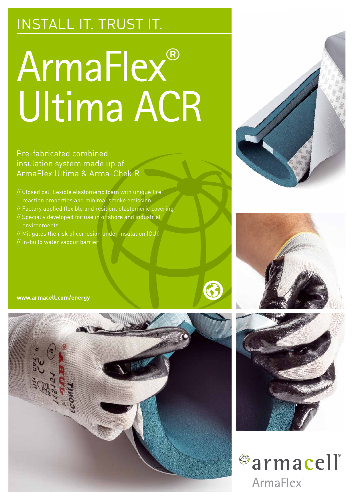# INSTALL IT. TRUST IT.

# ArmaFlex® Ultima ACR

Pre-fabricated combined insulation system made up of ArmaFlex Ultima & Arma-Chek R

- // Closed cell flexible elastomeric foam with unique fire reaction properties and minimal smoke emission
- // Factory applied flexible and resilient elastomeric covering
- // Specially developed for use in offshore and industrial environments
- // Mitigates the risk of corrosion under insulation (CUI) // In-build water vapour barrier











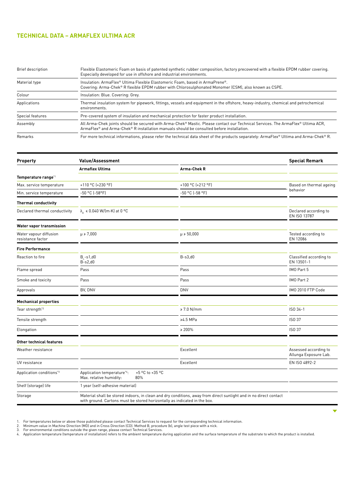# **TECHNICAL DATA – ARMAFLEX ULTIMA ACR**

| Brief description | Flexible Elastomeric Foam on basis of patented synthetic rubber composition, factory precovered with a flexible EPDM rubber covering.<br>Especially developed for use in offshore and industrial environments.                                |  |  |  |  |
|-------------------|-----------------------------------------------------------------------------------------------------------------------------------------------------------------------------------------------------------------------------------------------|--|--|--|--|
| Material type     | Insulation: ArmaFlex® Ultima Flexible Elastomeric Foam, based in ArmaPrene®.<br>Covering: Arma-Chek® R flexible EPDM rubber with Chlorosulphonated Monomer (CSM), also known as CSPE.                                                         |  |  |  |  |
| Colour            | Insulation: Blue. Covering: Grey.                                                                                                                                                                                                             |  |  |  |  |
| Applications      | Thermal insulation system for pipework, fittings, vessels and equipment in the offshore, heavy-industry, chemical and petrochemical<br>environments.                                                                                          |  |  |  |  |
| Special features  | Pre-covered system of insulation and mechanical protection for faster product installation.                                                                                                                                                   |  |  |  |  |
| Assembly          | All Arma-Chek joints should be secured with Arma-Chek® Mastic. Please contact our Technical Services. The ArmaFlex® Ultima ACR,<br>$ArmaFlex^{\circ}$ and $Arma-Chek^{\circ}$ R installation manuals should be consulted before installation. |  |  |  |  |
| Remarks           | For more technical informations, please refer the technical data sheet of the products separately: ArmaFlex® Ultima and Arma-Chek® R.                                                                                                         |  |  |  |  |

| Property                                    | <b>Value/Assessment</b>                                                                                                                                                                        |                   | <b>Special Remark</b>                          |  |
|---------------------------------------------|------------------------------------------------------------------------------------------------------------------------------------------------------------------------------------------------|-------------------|------------------------------------------------|--|
|                                             | <b>Armaflex Ultima</b>                                                                                                                                                                         | Arma-Chek R       |                                                |  |
| Temperature range*1                         |                                                                                                                                                                                                |                   |                                                |  |
| Max. service temperature                    | +110 °C (+230 °F)                                                                                                                                                                              | +100 °C (+212 °F) | Based on thermal ageing                        |  |
| Min. service temperature                    | $-50$ °C ( $-58$ °F)                                                                                                                                                                           | -50 °C (-58 °F)   | behavior                                       |  |
| <b>Thermal conductivity</b>                 |                                                                                                                                                                                                |                   |                                                |  |
| Declared thermal conductivity               | $\lambda_A \leqslant 0.040$ W/(m·K) at 0 °C                                                                                                                                                    |                   | Declared according to<br>EN ISO 13787          |  |
| Water vapor transmission                    |                                                                                                                                                                                                |                   |                                                |  |
| Water vapour diffusion<br>resistance factor | $\mu \ge 7,000$                                                                                                                                                                                | $\mu \ge 50,000$  | Tested according to<br>EN 12086                |  |
| <b>Fire Performance</b>                     |                                                                                                                                                                                                |                   |                                                |  |
| Reaction to fire                            | $B_{1} - S_{1}$ , d $0$<br>$B-s2,d0$                                                                                                                                                           | $B-s3,d0$         | Classified according to<br>EN 13501-1          |  |
| Flame spread                                | Pass                                                                                                                                                                                           | Pass              | IMO Part 5                                     |  |
| Smoke and toxicity                          | Pass                                                                                                                                                                                           | Pass              | IMO Part 2                                     |  |
| Approvals                                   | BV, DNV                                                                                                                                                                                        | <b>DNV</b>        | IMO 2010 FTP Code                              |  |
| <b>Mechanical properties</b>                |                                                                                                                                                                                                |                   |                                                |  |
| Tear strength <sup>*2</sup>                 |                                                                                                                                                                                                | ≥ 7.0 N/mm        | ISO 34-1                                       |  |
| Tensile strength                            |                                                                                                                                                                                                | ≥4.5 MPa          | ISO 37                                         |  |
| Elongation                                  |                                                                                                                                                                                                | ≥ 200%            | ISO 37                                         |  |
| Other technical features                    |                                                                                                                                                                                                |                   |                                                |  |
| Weather resistance                          |                                                                                                                                                                                                | Excellent         | Assessed according to<br>Allunga Exposure Lab. |  |
| UV resistance                               |                                                                                                                                                                                                | Excellent         | EN ISO 4892-2                                  |  |
| Application conditions*3                    | +5 °C to +35 °C<br>Application temperature*4:<br>Max. relative humidity:<br>80%                                                                                                                |                   |                                                |  |
| Shelf (storage) life                        | 1 year (self-adhesive material)                                                                                                                                                                |                   |                                                |  |
| Storage                                     | Material shall be stored indoors, in clean and dry conditions, away from direct sunlight and in no direct contact<br>with ground. Cartons must be stored horizontally as indicated in the box. |                   |                                                |  |

1. For temperatures below or above those published please contact Technical Services to request for the corresponding technical information.<br>2. Minimum value in Machine Direction (MD) and in Cross Direction (CD). Method B,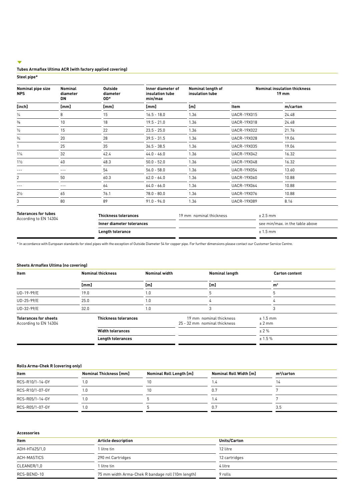## $\overline{\mathbf{v}}$

## **Tubes Armaflex Ultima ACR (with factory applied covering)**

**Steel pipe\***

| <b>Outside</b><br>Nominal pipe size<br>Nominal<br><b>NPS</b><br>diameter<br>diameter<br>OD*<br><b>DN</b> |         |      | Inner diameter of<br>insulation tube<br>min/max | Nominal length of<br>insulation tube | <b>Nominal insulation thickness</b><br><b>19 mm</b> |          |
|----------------------------------------------------------------------------------------------------------|---------|------|-------------------------------------------------|--------------------------------------|-----------------------------------------------------|----------|
| [inch]                                                                                                   | [mm]    | [mm] | [mm]                                            | [m]                                  | <b>Item</b>                                         | m/carton |
| $\frac{1}{4}$                                                                                            | 8       | 15   | $16.5 - 18.0$                                   | 1.36                                 | <b>UACR-19X015</b>                                  | 24.48    |
| $\frac{3}{8}$                                                                                            | 10      | 18   | $19.5 - 21.0$                                   | 1.36                                 | <b>UACR-19X018</b>                                  | 24.48    |
| $\frac{1}{2}$                                                                                            | 15      | 22   | $23.5 - 25.0$                                   | 1.36                                 | <b>UACR-19X022</b>                                  | 21.76    |
| $^{3/4}$                                                                                                 | 20      | 28   | $39.5 - 31.5$                                   | 1.36                                 | <b>UACR-19X028</b>                                  | 19.04    |
|                                                                                                          | 25      | 35   | $36.5 - 38.5$                                   | 1.36                                 | UACR-19X035                                         | 19.04    |
| $1\frac{1}{4}$                                                                                           | 32      | 42.4 | $44.0 - 46.0$                                   | 1.36                                 | <b>UACR-19X042</b>                                  | 16.32    |
| $1\frac{1}{2}$                                                                                           | 40      | 48.3 | $50.0 - 52.0$                                   | 1.36                                 | <b>UACR-19X048</b>                                  | 16.32    |
| ---                                                                                                      | $- - -$ | 54   | $56.0 - 58.0$                                   | 1.36                                 | UACR-19X054                                         | 13.60    |
| 2                                                                                                        | 50      | 60.3 | $62.0 - 64.0$                                   | 1.36                                 | UACR-19X060                                         | 10.88    |
|                                                                                                          | $- - -$ | 64   | $64.0 - 66.0$                                   | 1.36                                 | UACR-19X064                                         | 10.88    |
| $2\frac{1}{2}$                                                                                           | 65      | 76.1 | $78.0 - 80.0$                                   | 1.36                                 | UACR-19X076                                         | 10.88    |
| 3                                                                                                        | 80      | 89   | $91.0 - 94.0$                                   | 1.36                                 | UACR-19X089                                         | 8.16     |

| <b>IVICIAIILCJIVI LUDCJ</b><br>According to EN 14304 | Thickness tolerances      | 19 mm nominal thickness | $2.5 \text{ mm}$                |
|------------------------------------------------------|---------------------------|-------------------------|---------------------------------|
|                                                      | Inner diameter tolerances |                         | see min/max. in the table above |
|                                                      | <b>Length tolerance</b>   |                         | ւ 1.5 mm                        |

\* In accordance with European standards for steel pipes with the exception of Outside Diameter 54 for copper pipe. For further dimensions please contact our Customer Service Centre.

#### **Sheets Armaflex Ultima (no covering)**

| <b>Item</b>                                           | <b>Nominal thickness</b>    | <b>Nominal width</b> | <b>Nominal length</b>                                   |                       | <b>Carton content</b> |
|-------------------------------------------------------|-----------------------------|----------------------|---------------------------------------------------------|-----------------------|-----------------------|
|                                                       | [mm]                        | [m]                  | [m]                                                     |                       | m <sup>2</sup>        |
| UD-19-99/E                                            | 19.0                        | 1.0                  |                                                         |                       |                       |
| UD-25-99/E                                            | 25.0                        | 1.0                  |                                                         |                       |                       |
| UD-32-99/E                                            | 32.0                        | 1.0                  |                                                         |                       |                       |
| <b>Tolerances for sheets</b><br>According to EN 14304 | <b>Thickness tolerances</b> |                      | 19 mm nominal thickness<br>25 - 32 mm nominal thickness | $± 1.5$ mm<br>$±2$ mm |                       |
|                                                       | <b>Width tolerances</b>     |                      |                                                         | ± 2%                  |                       |
|                                                       | <b>Length tolerances</b>    |                      |                                                         | ± 1.5%                |                       |

## **Rolls Arma-Chek R (covering only)**

| Item            | Nominal Thickness [mm] | Nominal Roll Length [m] | Nominal Roll Width [m] | m <sup>2</sup> /carton |
|-----------------|------------------------|-------------------------|------------------------|------------------------|
| RCS-R10/1-14-GY | 1.0                    |                         | 1.4                    |                        |
| RCS-R10/1-07-GY | l.O                    |                         | 0.7                    |                        |
| RCS-R05/1-14-GY | 1.0                    |                         | 1.4                    |                        |
| RCS-R05/1-07-GY | 1.0                    |                         | 0.7                    | 3.5                    |

#### **Accessories**

| Item          | <b>Article description</b>                        | Units/Carton  |
|---------------|---------------------------------------------------|---------------|
| ADH-HT625/1,0 | 1 litre tin                                       | 12 litre      |
| ACH-MASTICS   | 290 ml Cartridges                                 | 12 cartridges |
| CLEANER/1,0   | 1 litre tin                                       | 4 litre       |
| RCS-BEND-10   | 75 mm width Arma-Chek R bandage roll (10m length) | 9 rolls       |